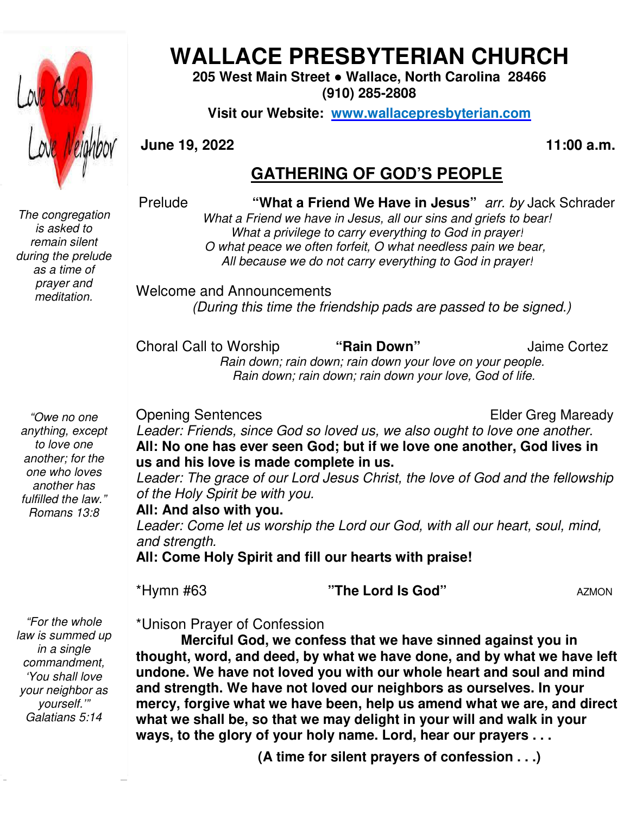

# **WALLACE PRESBYTERIAN CHURCH WALLACE PRESBYTERIAN CHURCH**

**205 West Main Street Street ● Wallace, North Carolina 28466 (910) 285-2808** 

**Visit our Website: www.wallacepresbyterian.com**

**June 19, 2022** 

**, 2022 11:00 a.m.**

### **GATHERING OF GOD'S PEOPLE**

Prelude **"What a a Friend We Have in Jesus"** *arr. by* Jack Schrader

*The congregation is asked to remain silent during the prelude as a time of prayer and meditation.* 

What a Friend we have in Jesus, all our sins and griefs to bear! *What a privilege to carry everything to God in prayer! O what peace we often forfeit, O what needless pain we bear, bear, All because we do not carry everything to God in prayer!*

Welcome and Announcements and Announcements *(During this time the friendship pads are passed to be signed.) time friendship* 

Choral Call to Worship  *Rain down; rain down; rain down your love on your people. Rain down; rain down; rain down your Rain down; rain down; your love, God of life.* to **"Rain Down"** Jaime Cortez

*"Owe no one anything, except to love one another; for the one who loves another has fulfilled the law." Romans 13:8* 

Opening Sentences

**Elder Greg Maready** 

Leader: Friends, since God so loved us, we also ought to love one another. All: No one has ever seen God; but if we love one another, God lives in **us and his love is made complete in us. us and** *d us, we also ought to love one*<br>**ut if we love one another, Goonely in us.**<br>*s Christ, the love of God and th*<br>*rd our God, with all our heart, s* 

Leader: The grace of our Lord Jesus Christ, the love of God and the fellowship *of the Holy Spirit be with you.* Leader: The grace of our Lord Jesus Christ, the love of God and the fellowshi<br>of the Holy Spirit be with you.<br>**All: And also with you.**<br>Leader: Come let us worship the Lord our God, with all our heart, soul, mind,

**All: And also with you.**

*and strength.* 

**All: Come Holy Spirit and fill our hearts with praise! with** 

\*Hymn #63

**"The Lord Is God"**

AZMON

 $\overline{\phantom{a}}$ *"For the whole law is summed up in a single commandment, 'You shall love your neighbor as yourself.'" Galatians 5:14* 

\*Unison Prayer of Confession

**Merciful God, we confess that we have sinned against you in thought, word, and deed, by what we have done, and by what we have left undone. We have not loved you with our whole heart and soul and mind and strength. We have not loved our neighbors as ourselves. In and strength. your mercy, forgive what we have been, help us amend what we are, and direct what we shall be, so that we may delight in your will and walk in your ways, to the glory of your holy name. Lord, hear our prayers . . .** *v*e what we have been, help us amend what we are, and<br>II be, so that we may delight in your will and walk in you<br>glory of your holy name. Lord, hear our prayers . . .<br>(A time for silent prayers of confession . . .) **ess that we have sinned against**<br>what we have done, and by what<br>rou with our whole heart and sou<br>ved our neighbors as ourselves.<br>been, help us amend what we ar<br>may delight in your will and walk

**(A time for silent prayers of confession**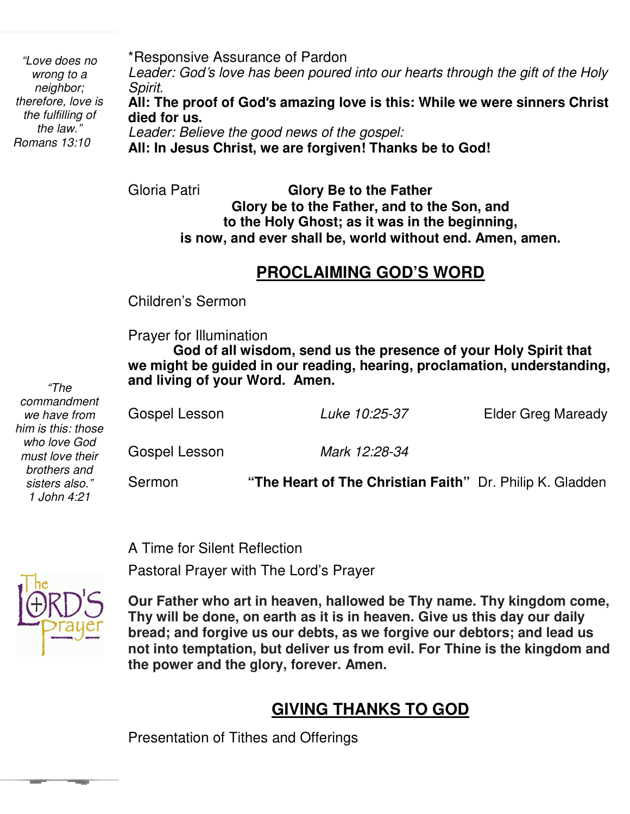\*Responsive Assurance of Pardon *Leader: God*'*s love has been poured into our hearts through the gift of the Holy Spirit.* **All: The proof of God**'**s amazing love is this: While we were sinners Christ died for us.** *Leader: Believe the good news of the gospel:* **All: In Jesus Christ, we are forgiven! Thanks be to God!** *"Love does no wrong to a neighbor; therefore, love is the fulfilling of the law." Romans 13:10* 

> Gloria Patri **Glory Be to the Father Glory be to the Father, and to the Son, and to the Holy Ghost; as it was in the beginning, is now, and ever shall be, world without end. Amen, amen.**

# **PROCLAIMING GOD'S WORD**

Children's Sermon

 Prayer for Illumination

**God of all wisdom, send us the presence of your Holy Spirit that we might be guided in our reading, hearing, proclamation, understanding, and living of your Word. Amen.** 

| commandment<br>we have from<br>him is this: those | Gospel Lesson | Luke 10:25-37                                            | <b>Elder Greg Maready</b> |
|---------------------------------------------------|---------------|----------------------------------------------------------|---------------------------|
| who love God<br>must love their                   | Gospel Lesson | Mark 12:28-34                                            |                           |
| brothers and<br>sisters also."<br>1 John 4:21     | Sermon        | "The Heart of The Christian Faith" Dr. Philip K. Gladden |                           |

A Time for Silent Reflection

Pastoral Prayer with The Lord's Prayer



*"The* 

 **Thy will be done, on earth as it is in heaven. Give us this day our daily Our Father who art in heaven, hallowed be Thy name. Thy kingdom come, bread; and forgive us our debts, as we forgive our debtors; and lead us not into temptation, but deliver us from evil. For Thine is the kingdom and the power and the glory, forever. Amen.** 

## **GIVING THANKS TO GOD**

Presentation of Tithes and Offerings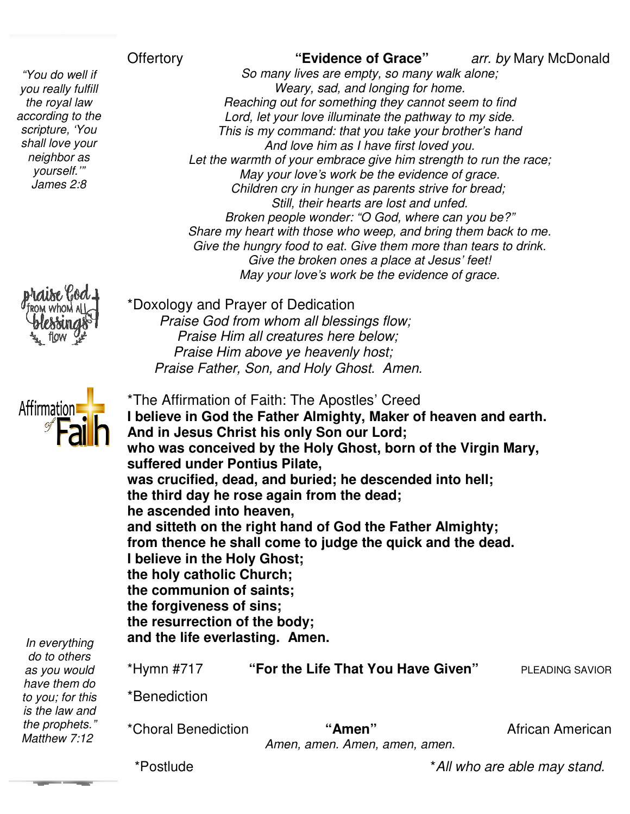### **Offertory**

 *according to the "You do well if you really fulfill the royal law scripture, 'You shall love your neighbor as yourself.'" James 2:8* 

*So many lives are empty, so many walk alone; Weary, sad, and longing for home. Reaching out for something they cannot seem to find Lord, let you be if* the pathway McDonald<br> *Lord, let your love illuminate the pathway to my side.*<br> *Meary, sad, and longing for home.*<br> *Reaching out for something they cannot seem to find*<br> *Lord, let your love illumin This is my command: that you take your brother's hand And love him as I have first loved Let the warmth of your embrace give him strength to run the race; May your love's work be the evidence of grace. Children cry in hunger as parents strive for bread; bread; Still, their hearts are lost and unfed. Broken people wonder: "O God, where can you be?" Share my heart with those who weep, and bring them back to me. Give the hungry food to eat. Give them more than tears to drink. my to more Give the broken ones a place at Jesus' feet! May your love's work be the evidence of grace. Weary, sad, and longing for home.*<br>*Reaching out for something they cannot seem*<br>*Lord, let your love illuminate the pathway to m*<br>*This is my command: that you take your brothe.*<br>And love him as I have first loved you.





\*The Affirmation of Faith: The Apostles' Creed **I believe in God the Father Almighty, Maker of heaven and earth. And in Jesus Christ his only Son our Lord; who was conceived by the Holy Ghost, born of the Virgin Mary, suffered under Pontius Pilate, was crucified, dead, and buried; he descended into the third day he rose again from the dead; he ascended into heaven, and sitteth on the right hand of God the Father Almighty; from thence he shall come to judge the quick and the dead. I believe in the Holy Ghost; the holy catholic Church; the communion of saints; the forgiveness of sins; the resurrection of the body; and the life everlasting. Amen.** \*Hymn #717 **"For the Life That You Have Given the Given"** PLEADING SAVIOR \*Benediction Christ his only Son our Lord;<br>ceived by the Holy Ghost, born of the Virgin<br>r Pontius Pilate,<br>, dead, and buried; he descended into hell; third day he rose again from the dead;<br>ascended into heaven,<br>d sitteth on the right hand of God the Father<br>m thence he shall come to judge the quick a<br>elieve in the Holy Ghost;<br>holy catholic Church;<br>communion of saints;<br>fo McDonald<br>|-<br>|<br>| American

*as you would have them do to you; for this is the law and the prophets." Matthew 7:12*

*In everything do to others* 

*Amen, amen. Amen, amen, amen.*

**"Amen"** African American

\*Postlude

\*Choral Benediction

\*Doxology and Prayer of Dedication

 *Praise God from whom all blessings flow; Praise Him all creatures here below; Praise Him above ye heavenly host; Praise Him all creatures here below;<br>Praise Him above ye heavenly host;<br>Praise Father, Son, and Holy Ghost. Amen.* 

\**All who are able may stand. who are able stand.*